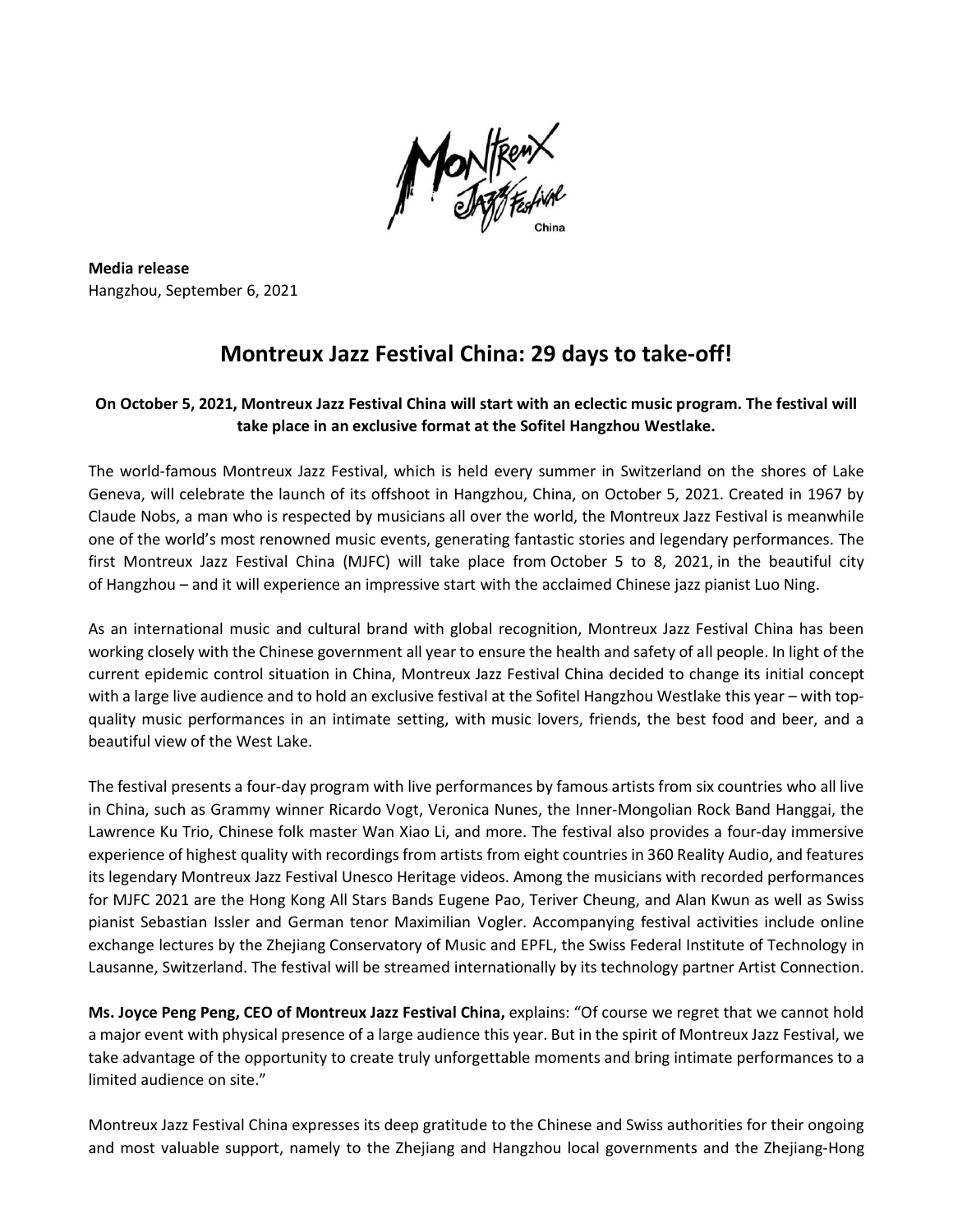

**Media release** Hangzhou, September 6, 2021

## **Montreux Jazz Festival China: 29 days to take-off!**

## On October 5, 2021, Montreux Jazz Festival China will start with an eclectic music program. The festival will **take place in an exclusive format at the Sofitel Hangzhou Westlake.**

The world-famous Montreux Jazz Festival, which is held every summer in Switzerland on the shores of Lake Geneva, will celebrate the launch of its offshoot in Hangzhou, China, on October 5, 2021. Created in 1967 by Claude Nobs, a man who is respected by musicians all over the world, the Montreux Jazz Festival is meanwhile one of the world's most renowned music events, generating fantastic stories and legendary performances. The first Montreux Jazz Festival China (MJFC) will take place from October 5 to 8, 2021, in the beautiful city of Hangzhou – and it will experience an impressive start with the acclaimed Chinese jazz pianist Luo Ning.

As an international music and cultural brand with global recognition, Montreux Jazz Festival China has been working closely with the Chinese government all year to ensure the health and safety of all people. In light of the current epidemic control situation in China, Montreux Jazz Festival China decided to change its initial concept with a large live audience and to hold an exclusive festival at the Sofitel Hangzhou Westlake this year – with topquality music performances in an intimate setting, with music lovers, friends, the best food and beer, and a beautiful view of the West Lake.

The festival presents a four-day program with live performances by famous artists from six countries who all live in China, such as Grammy winner Ricardo Vogt, Veronica Nunes, the Inner-Mongolian Rock Band Hanggai, the Lawrence Ku Trio, Chinese folk master Wan Xiao Li, and more. The festival also provides a four-day immersive experience of highest quality with recordings from artists from eight countries in 360 Reality Audio, and features its legendary Montreux Jazz Festival Unesco Heritage videos. Among the musicians with recorded performances for MJFC 2021 are the Hong Kong All Stars Bands Eugene Pao, Teriver Cheung, and Alan Kwun as well as Swiss pianist Sebastian Issler and German tenor Maximilian Vogler. Accompanying festival activities include online exchange lectures by the Zhejiang Conservatory of Music and EPFL, the Swiss Federal Institute of Technology in Lausanne, Switzerland. The festival will be streamed internationally by its technology partner Artist Connection.

**Ms. Joyce Peng Peng, CEO of Montreux Jazz Festival China,** explains: "Of course we regret that we cannot hold a major event with physical presence of a large audience this year. But in the spirit of Montreux Jazz Festival, we take advantage of the opportunity to create truly unforgettable moments and bring intimate performances to a limited audience on site."

Montreux Jazz Festival China expresses its deep gratitude to the Chinese and Swiss authorities for their ongoing and most valuable support, namely to the Zhejiang and Hangzhou local governments and the Zhejiang-Hong